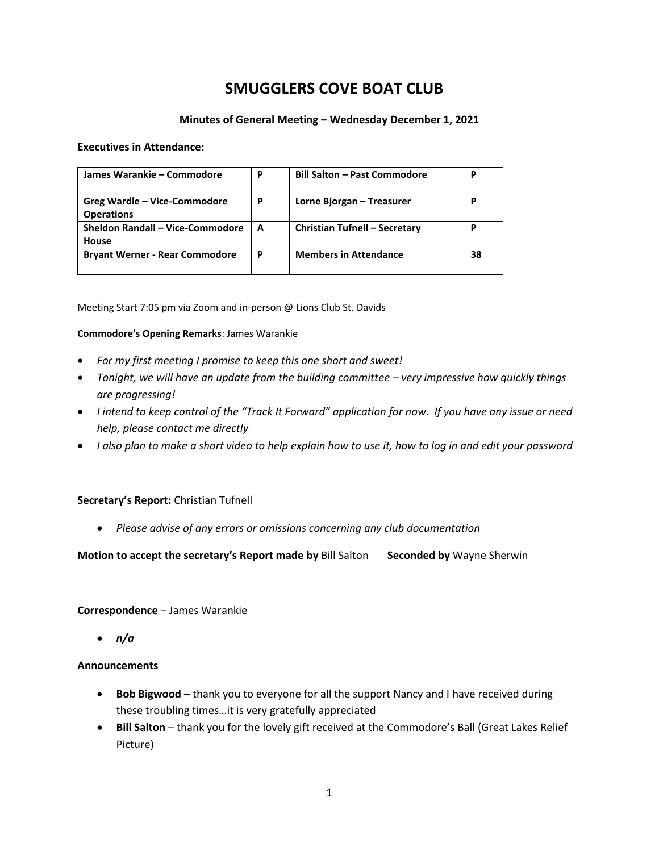# **SMUGGLERS COVE BOAT CLUB**

#### **Minutes of General Meeting – Wednesday December 1, 2021**

#### **Executives in Attendance:**

| James Warankie – Commodore                        | P | <b>Bill Salton - Past Commodore</b>  | P  |
|---------------------------------------------------|---|--------------------------------------|----|
| Greg Wardle – Vice-Commodore<br><b>Operations</b> | P | Lorne Bjorgan – Treasurer            | р  |
| Sheldon Randall - Vice-Commodore<br>House         | A | <b>Christian Tufnell - Secretary</b> | P  |
| <b>Bryant Werner - Rear Commodore</b>             | P | <b>Members in Attendance</b>         | 38 |

Meeting Start 7:05 pm via Zoom and in-person @ Lions Club St. Davids

#### **Commodore's Opening Remarks**: James Warankie

- *For my first meeting I promise to keep this one short and sweet!*
- *Tonight, we will have an update from the building committee very impressive how quickly things are progressing!*
- *I intend to keep control of the "Track It Forward" application for now. If you have any issue or need help, please contact me directly*
- *I also plan to make a short video to help explain how to use it, how to log in and edit your password*

#### **Secretary's Report:** Christian Tufnell

• *Please advise of any errors or omissions concerning any club documentation*

#### **Motion to accept the secretary's Report made by** Bill Salton **Seconded by** Wayne Sherwin

#### **Correspondence** – James Warankie

• *n/a*

#### **Announcements**

- **Bob Bigwood**  thank you to everyone for all the support Nancy and I have received during these troubling times…it is very gratefully appreciated
- Bill Salton thank you for the lovely gift received at the Commodore's Ball (Great Lakes Relief Picture)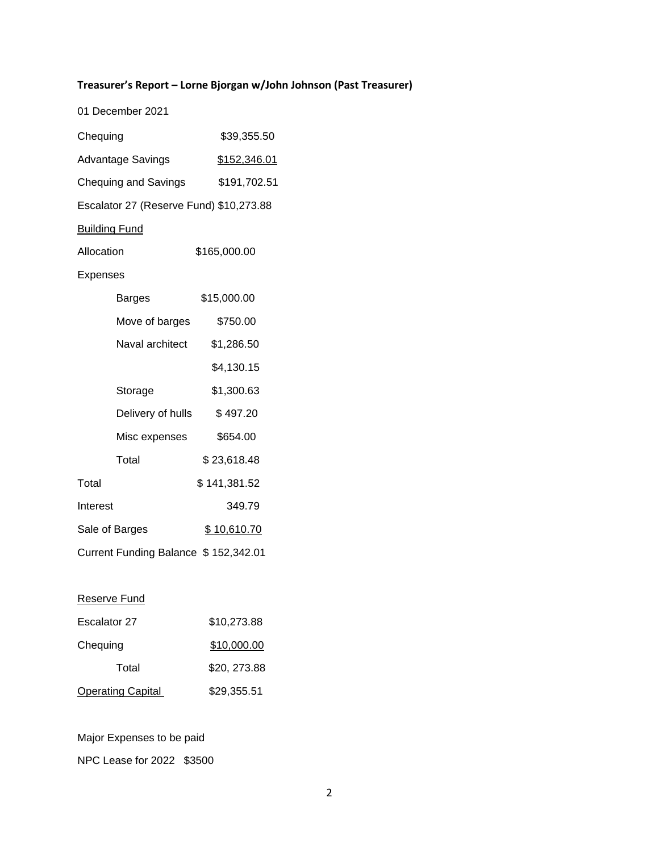## **Treasurer's Report – Lorne Bjorgan w/John Johnson (Past Treasurer)**

|                                      | 01 December 2021                        |                    |
|--------------------------------------|-----------------------------------------|--------------------|
| Chequing                             |                                         | \$39,355.50        |
| <b>Advantage Savings</b>             |                                         | \$152,346.01       |
| <b>Chequing and Savings</b>          |                                         | \$191,702.51       |
|                                      | Escalator 27 (Reserve Fund) \$10,273.88 |                    |
| <b>Building Fund</b>                 |                                         |                    |
| Allocation                           |                                         | \$165,000.00       |
| Expenses                             |                                         |                    |
|                                      | Barges                                  | \$15,000.00        |
|                                      | Move of barges                          | \$750.00           |
|                                      | Naval architect                         | \$1,286.50         |
|                                      |                                         | \$4,130.15         |
|                                      | Storage                                 | \$1,300.63         |
|                                      | Delivery of hulls                       | \$497.20           |
|                                      | Misc expenses                           | \$654.00           |
|                                      | Total                                   | \$23,618.48        |
| Total                                |                                         | \$141,381.52       |
| Interest                             |                                         | 349.79             |
| Sale of Barges                       |                                         | <u>\$10,610.70</u> |
| Current Funding Balance \$152,342.01 |                                         |                    |
|                                      |                                         |                    |

## Reserve Fund

| Escalator 27             | \$10,273.88  |
|--------------------------|--------------|
| Chequing                 | \$10,000.00  |
| Total                    | \$20, 273.88 |
| <b>Operating Capital</b> | \$29,355.51  |

Major Expenses to be paid

NPC Lease for 2022 \$3500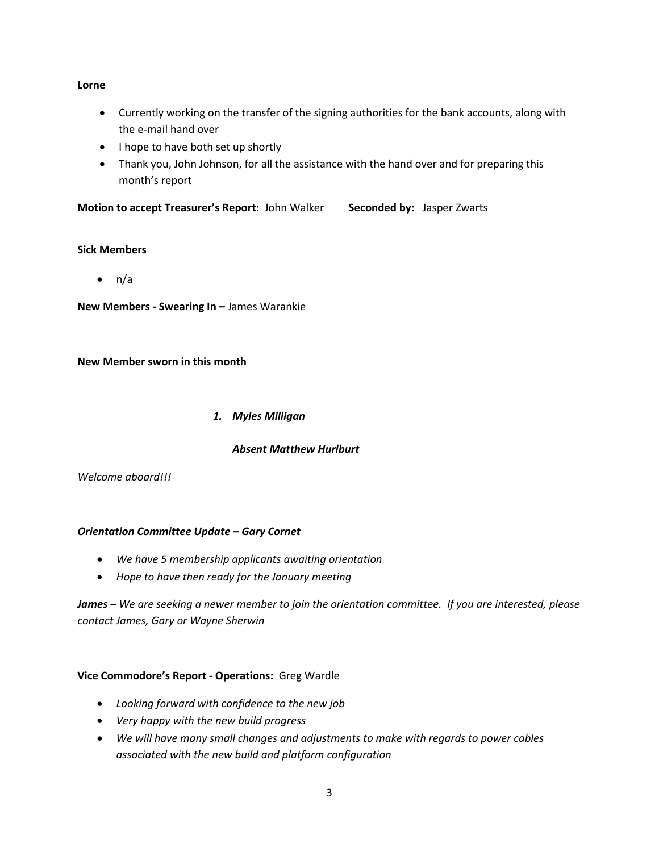#### **Lorne**

- Currently working on the transfer of the signing authorities for the bank accounts, along with the e-mail hand over
- I hope to have both set up shortly
- Thank you, John Johnson, for all the assistance with the hand over and for preparing this month's report

**Motion to accept Treasurer's Report:** John Walker **Seconded by:** Jasper Zwarts

#### **Sick Members**

 $\bullet$  n/a

**New Members - Swearing In –** James Warankie

#### **New Member sworn in this month**

#### *1. Myles Milligan*

## *Absent Matthew Hurlburt*

*Welcome aboard!!!* 

#### *Orientation Committee Update – Gary Cornet*

- *We have 5 membership applicants awaiting orientation*
- *Hope to have then ready for the January meeting*

*James – We are seeking a newer member to join the orientation committee. If you are interested, please contact James, Gary or Wayne Sherwin*

## **Vice Commodore's Report - Operations:** Greg Wardle

- *Looking forward with confidence to the new job*
- *Very happy with the new build progress*
- *We will have many small changes and adjustments to make with regards to power cables associated with the new build and platform configuration*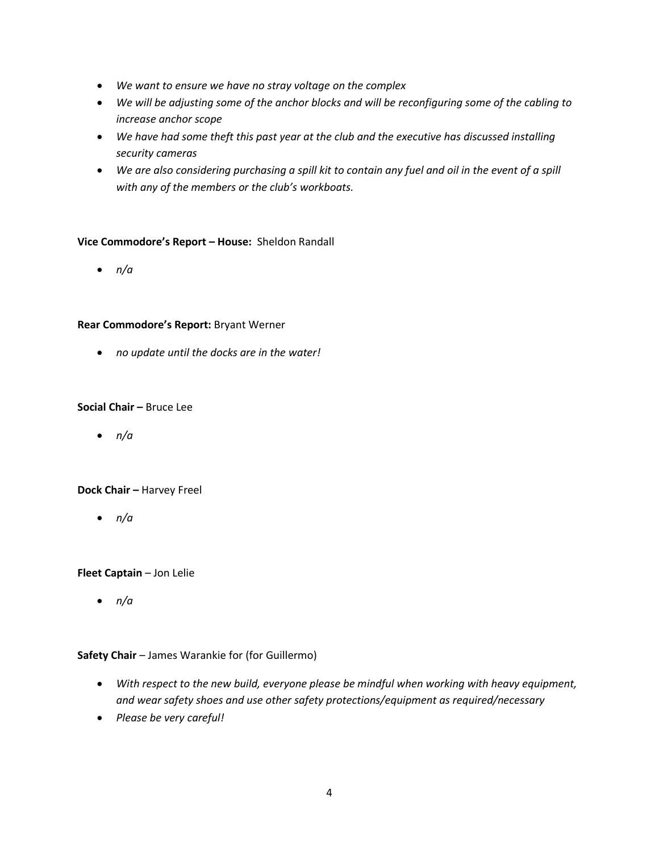- *We want to ensure we have no stray voltage on the complex*
- *We will be adjusting some of the anchor blocks and will be reconfiguring some of the cabling to increase anchor scope*
- *We have had some theft this past year at the club and the executive has discussed installing security cameras*
- *We are also considering purchasing a spill kit to contain any fuel and oil in the event of a spill with any of the members or the club's workboats.*

#### **Vice Commodore's Report – House:** Sheldon Randall

• *n/a*

#### **Rear Commodore's Report:** Bryant Werner

• *no update until the docks are in the water!*

#### **Social Chair –** Bruce Lee

• *n/a*

#### **Dock Chair –** Harvey Freel

• *n/a*

#### **Fleet Captain** – Jon Lelie

• *n/a*

#### **Safety Chair** – James Warankie for (for Guillermo)

- *With respect to the new build, everyone please be mindful when working with heavy equipment, and wear safety shoes and use other safety protections/equipment as required/necessary*
- *Please be very careful!*